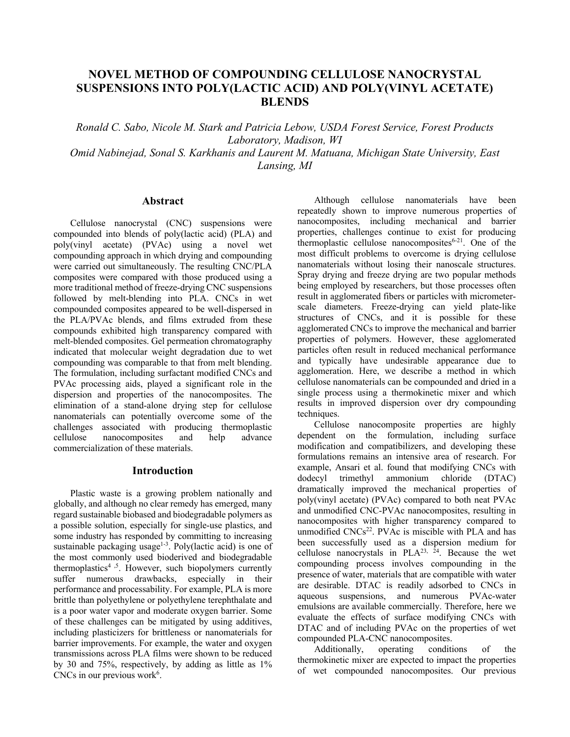# **NOVEL METHOD OF COMPOUNDING CELLULOSE NANOCRYSTAL SUSPENSIONS INTO POLY(LACTIC ACID) AND POLY(VINYL ACETATE) BLENDS**

*Ronald C. Sabo, Nicole M. Stark and Patricia Lebow, USDA Forest Service, Forest Products Laboratory, Madison, WI Omid Nabinejad, Sonal S. Karkhanis and Laurent M. Matuana, Michigan State University, East Lansing, MI* 

### **Abstract**

Cellulose nanocrystal (CNC) suspensions were compounded into blends of poly(lactic acid) (PLA) and poly(vinyl acetate) (PVAc) using a novel wet compounding approach in which drying and compounding were carried out simultaneously. The resulting CNC/PLA composites were compared with those produced using a more traditional method of freeze-drying CNC suspensions followed by melt-blending into PLA. CNCs in wet compounded composites appeared to be well-dispersed in the PLA/PVAc blends, and films extruded from these compounds exhibited high transparency compared with melt-blended composites. Gel permeation chromatography indicated that molecular weight degradation due to wet compounding was comparable to that from melt blending. The formulation, including surfactant modified CNCs and PVAc processing aids, played a significant role in the dispersion and properties of the nanocomposites. The elimination of a stand-alone drying step for cellulose nanomaterials can potentially overcome some of the challenges associated with producing thermoplastic cellulose nanocomposites and help advance commercialization of these materials.

### **Introduction**

Plastic waste is a growing problem nationally and globally, and although no clear remedy has emerged, many regard sustainable biobased and biodegradable polymers as a possible solution, especially for single-use plastics, and some industry has responded by committing to increasing sustainable packaging usage<sup>1-3</sup>. Poly(lactic acid) is one of the most commonly used bioderived and biodegradable thermoplastics<sup>4,5</sup>. However, such biopolymers currently suffer numerous drawbacks, especially in their performance and processability. For example, PLA is more brittle than polyethylene or polyethylene terephthalate and is a poor water vapor and moderate oxygen barrier. Some of these challenges can be mitigated by using additives, including plasticizers for brittleness or nanomaterials for barrier improvements. For example, the water and oxygen transmissions across PLA films were shown to be reduced by 30 and 75%, respectively, by adding as little as 1%  $CNCs$  in our previous work<sup>6</sup>.

Although cellulose nanomaterials have been repeatedly shown to improve numerous properties of nanocomposites, including mechanical and barrier properties, challenges continue to exist for producing thermoplastic cellulose nanocomposites $6-21$ . One of the most difficult problems to overcome is drying cellulose nanomaterials without losing their nanoscale structures. Spray drying and freeze drying are two popular methods being employed by researchers, but those processes often result in agglomerated fibers or particles with micrometerscale diameters. Freeze-drying can yield plate-like structures of CNCs, and it is possible for these agglomerated CNCs to improve the mechanical and barrier properties of polymers. However, these agglomerated particles often result in reduced mechanical performance and typically have undesirable appearance due to agglomeration. Here, we describe a method in which cellulose nanomaterials can be compounded and dried in a single process using a thermokinetic mixer and which results in improved dispersion over dry compounding techniques.

Cellulose nanocomposite properties are highly dependent on the formulation, including surface modification and compatibilizers, and developing these formulations remains an intensive area of research. For example, Ansari et al. found that modifying CNCs with dodecyl trimethyl ammonium chloride (DTAC) dramatically improved the mechanical properties of poly(vinyl acetate) (PVAc) compared to both neat PVAc and unmodified CNC-PVAc nanocomposites, resulting in nanocomposites with higher transparency compared to unmodified CNCs<sup>22</sup>. PVAc is miscible with PLA and has been successfully used as a dispersion medium for cellulose nanocrystals in  $PLA^{23, 24}$ . Because the wet compounding process involves compounding in the presence of water, materials that are compatible with water are desirable. DTAC is readily adsorbed to CNCs in aqueous suspensions, and numerous PVAc-water emulsions are available commercially. Therefore, here we evaluate the effects of surface modifying CNCs with DTAC and of including PVAc on the properties of wet compounded PLA-CNC nanocomposites.

Additionally, operating conditions of the thermokinetic mixer are expected to impact the properties of wet compounded nanocomposites. Our previous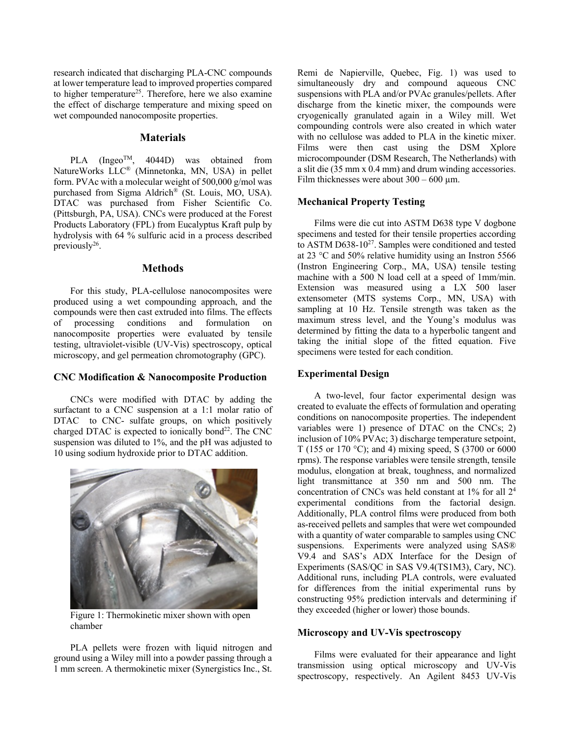research indicated that discharging PLA-CNC compounds at lower temperature lead to improved properties compared to higher temperature<sup>25</sup>. Therefore, here we also examine the effect of discharge temperature and mixing speed on wet compounded nanocomposite properties.

### **Materials**

PLA (Ingeo<sup>TM</sup>, 4044D) was obtained from NatureWorks LLC® (Minnetonka, MN, USA) in pellet form. PVAc with a molecular weight of 500,000 g/mol was purchased from Sigma Aldrich® (St. Louis, MO, USA). DTAC was purchased from Fisher Scientific Co. (Pittsburgh, PA, USA). CNCs were produced at the Forest Products Laboratory (FPL) from Eucalyptus Kraft pulp by hydrolysis with 64 % sulfuric acid in a process described previously<sup>26</sup>.

### **Methods**

For this study, PLA-cellulose nanocomposites were produced using a wet compounding approach, and the compounds were then cast extruded into films. The effects of processing conditions and formulation on nanocomposite properties were evaluated by tensile testing, ultraviolet-visible (UV-Vis) spectroscopy, optical microscopy, and gel permeation chromotography (GPC).

# **CNC Modification & Nanocomposite Production**

CNCs were modified with DTAC by adding the surfactant to a CNC suspension at a 1:1 molar ratio of DTAC to CNC- sulfate groups, on which positively charged DTAC is expected to ionically bond $^{22}$ . The CNC suspension was diluted to 1%, and the pH was adjusted to 10 using sodium hydroxide prior to DTAC addition.



Figure 1: Thermokinetic mixer shown with open chamber

PLA pellets were frozen with liquid nitrogen and ground using a Wiley mill into a powder passing through a 1 mm screen. A thermokinetic mixer (Synergistics Inc., St. Remi de Napierville, Quebec, Fig. 1) was used to simultaneously dry and compound aqueous CNC suspensions with PLA and/or PVAc granules/pellets. After discharge from the kinetic mixer, the compounds were cryogenically granulated again in a Wiley mill. Wet compounding controls were also created in which water with no cellulose was added to PLA in the kinetic mixer. Films were then cast using the DSM Xplore microcompounder (DSM Research, The Netherlands) with a slit die (35 mm x 0.4 mm) and drum winding accessories. Film thicknesses were about  $300 - 600 \mu m$ .

# **Mechanical Property Testing**

Films were die cut into ASTM D638 type V dogbone specimens and tested for their tensile properties according to ASTM D638-10<sup>27</sup>. Samples were conditioned and tested at 23 °C and 50% relative humidity using an Instron 5566 (Instron Engineering Corp., MA, USA) tensile testing machine with a 500 N load cell at a speed of 1mm/min. Extension was measured using a LX 500 laser extensometer (MTS systems Corp., MN, USA) with sampling at 10 Hz. Tensile strength was taken as the maximum stress level, and the Young's modulus was determined by fitting the data to a hyperbolic tangent and taking the initial slope of the fitted equation. Five specimens were tested for each condition.

### **Experimental Design**

A two-level, four factor experimental design was created to evaluate the effects of formulation and operating conditions on nanocomposite properties. The independent variables were 1) presence of DTAC on the CNCs; 2) inclusion of 10% PVAc; 3) discharge temperature setpoint, T (155 or 170 °C); and 4) mixing speed, S (3700 or 6000 rpms). The response variables were tensile strength, tensile modulus, elongation at break, toughness, and normalized light transmittance at 350 nm and 500 nm. The concentration of CNCs was held constant at 1% for all 24 experimental conditions from the factorial design. Additionally, PLA control films were produced from both as-received pellets and samples that were wet compounded with a quantity of water comparable to samples using CNC suspensions. Experiments were analyzed using SAS® V9.4 and SAS's ADX Interface for the Design of Experiments (SAS/QC in SAS V9.4(TS1M3), Cary, NC). Additional runs, including PLA controls, were evaluated for differences from the initial experimental runs by constructing 95% prediction intervals and determining if they exceeded (higher or lower) those bounds.

### **Microscopy and UV-Vis spectroscopy**

Films were evaluated for their appearance and light transmission using optical microscopy and UV-Vis spectroscopy, respectively. An Agilent 8453 UV-Vis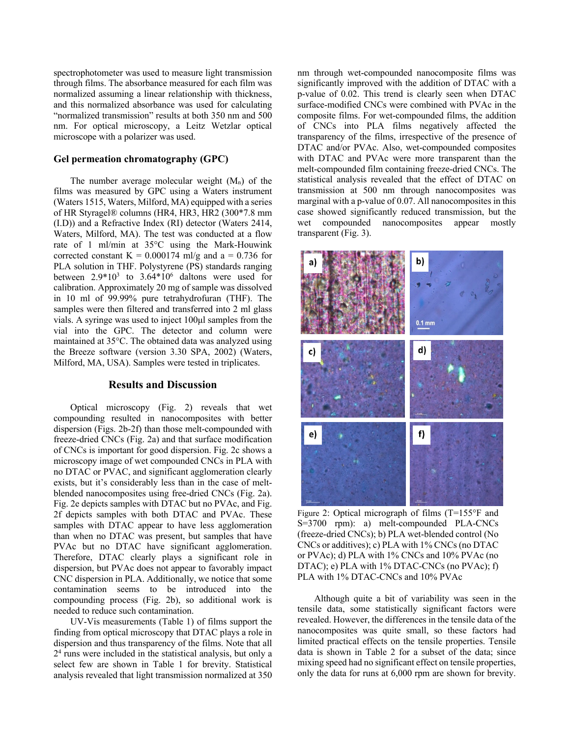spectrophotometer was used to measure light transmission through films. The absorbance measured for each film was normalized assuming a linear relationship with thickness, and this normalized absorbance was used for calculating "normalized transmission" results at both 350 nm and 500 nm. For optical microscopy, a Leitz Wetzlar optical microscope with a polarizer was used.

### **Gel permeation chromatography (GPC)**

The number average molecular weight  $(M_n)$  of the films was measured by GPC using a Waters instrument (Waters 1515, Waters, Milford, MA) equipped with a series of HR Styragel® columns (HR4, HR3, HR2 (300\*7.8 mm (I.D)) and a Refractive Index (RI) detector (Waters 2414, Waters, Milford, MA). The test was conducted at a flow rate of 1 ml/min at 35°C using the Mark-Houwink corrected constant K =  $0.000174$  ml/g and a = 0.736 for PLA solution in THF. Polystyrene (PS) standards ranging between  $2.9*10^3$  to  $3.64*10^6$  daltons were used for calibration. Approximately 20 mg of sample was dissolved in 10 ml of 99.99% pure tetrahydrofuran (THF). The samples were then filtered and transferred into 2 ml glass vials. A syringe was used to inject 100μl samples from the vial into the GPC. The detector and column were maintained at 35°C. The obtained data was analyzed using the Breeze software (version 3.30 SPA, 2002) (Waters, Milford, MA, USA). Samples were tested in triplicates.

### **Results and Discussion**

Optical microscopy (Fig. 2) reveals that wet compounding resulted in nanocomposites with better dispersion (Figs. 2b-2f) than those melt-compounded with freeze-dried CNCs (Fig. 2a) and that surface modification of CNCs is important for good dispersion. Fig. 2c shows a microscopy image of wet compounded CNCs in PLA with no DTAC or PVAC, and significant agglomeration clearly exists, but it's considerably less than in the case of meltblended nanocomposites using free-dried CNCs (Fig. 2a). Fig. 2e depicts samples with DTAC but no PVAc, and Fig. 2f depicts samples with both DTAC and PVAc. These samples with DTAC appear to have less agglomeration than when no DTAC was present, but samples that have PVAc but no DTAC have significant agglomeration. Therefore, DTAC clearly plays a significant role in dispersion, but PVAc does not appear to favorably impact CNC dispersion in PLA. Additionally, we notice that some contamination seems to be introduced into the compounding process (Fig. 2b), so additional work is needed to reduce such contamination.

UV-Vis measurements (Table 1) of films support the finding from optical microscopy that DTAC plays a role in dispersion and thus transparency of the films. Note that all 24 runs were included in the statistical analysis, but only a select few are shown in Table 1 for brevity. Statistical analysis revealed that light transmission normalized at 350

nm through wet-compounded nanocomposite films was significantly improved with the addition of DTAC with a p-value of 0.02. This trend is clearly seen when DTAC surface-modified CNCs were combined with PVAc in the composite films. For wet-compounded films, the addition of CNCs into PLA films negatively affected the transparency of the films, irrespective of the presence of DTAC and/or PVAc. Also, wet-compounded composites with DTAC and PVAc were more transparent than the melt-compounded film containing freeze-dried CNCs. The statistical analysis revealed that the effect of DTAC on transmission at 500 nm through nanocomposites was marginal with a p-value of 0.07. All nanocomposites in this case showed significantly reduced transmission, but the wet compounded nanocomposites appear mostly transparent (Fig. 3).



Figure 2: Optical micrograph of films (T=155°F and S=3700 rpm): a) melt-compounded PLA-CNCs (freeze-dried CNCs); b) PLA wet-blended control (No CNCs or additives); c) PLA with 1% CNCs (no DTAC or PVAc); d) PLA with 1% CNCs and 10% PVAc (no DTAC); e) PLA with 1% DTAC-CNCs (no PVAc); f) PLA with 1% DTAC-CNCs and 10% PVAc

Although quite a bit of variability was seen in the tensile data, some statistically significant factors were revealed. However, the differences in the tensile data of the nanocomposites was quite small, so these factors had limited practical effects on the tensile properties. Tensile data is shown in Table 2 for a subset of the data; since mixing speed had no significant effect on tensile properties, only the data for runs at 6,000 rpm are shown for brevity.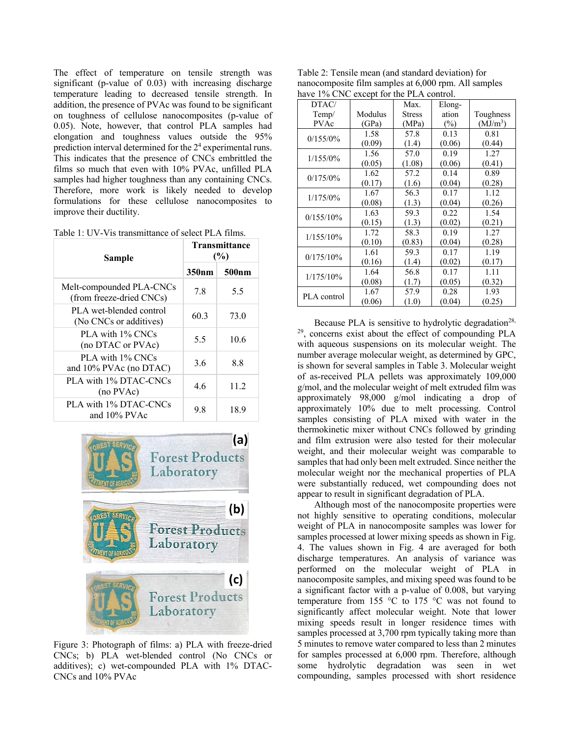The effect of temperature on tensile strength was significant (p-value of 0.03) with increasing discharge temperature leading to decreased tensile strength. In addition, the presence of PVAc was found to be significant on toughness of cellulose nanocomposites (p-value of 0.05). Note, however, that control PLA samples had elongation and toughness values outside the 95% prediction interval determined for the 24 experimental runs. This indicates that the presence of CNCs embrittled the films so much that even with 10% PVAc, unfilled PLA samples had higher toughness than any containing CNCs. Therefore, more work is likely needed to develop formulations for these cellulose nanocomposites to improve their ductility.

Table 1: UV-Vis transmittance of select PLA films.

| Sample                                               | <b>Transmittance</b><br>(%) |                   |
|------------------------------------------------------|-----------------------------|-------------------|
|                                                      | 350nm                       | 500 <sub>nm</sub> |
| Melt-compounded PLA-CNCs<br>(from freeze-dried CNCs) | 7.8                         | 5.5               |
| PLA wet-blended control<br>(No CNCs or additives)    | 60.3                        | 73.0              |
| PLA with 1% CNCs<br>(no DTAC or PVAc)                | 5.5                         | 10.6              |
| PLA with 1% CNCs<br>and $10\%$ PVAc (no DTAC)        | 3.6                         | 8.8               |
| PLA with 1% DTAC-CNCs<br>(no PVAc)                   | 4.6                         | 11.2              |
| PLA with 1% DTAC-CNCs<br>and 10% PVAc                | 9.8                         | 18.9              |



Figure 3: Photograph of films: a) PLA with freeze-dried CNCs; b) PLA wet-blended control (No CNCs or additives); c) wet-compounded PLA with 1% DTAC-CNCs and 10% PVAc

| Table 2: Tensile mean (and standard deviation) for   |
|------------------------------------------------------|
| nanocomposite film samples at 6,000 rpm. All samples |
| have 1% CNC except for the PLA control.              |

| DTAC/        |         | Max.          | Elong- |                      |  |
|--------------|---------|---------------|--------|----------------------|--|
| Temp/        | Modulus | <b>Stress</b> | ation  | Toughness            |  |
| <b>PVAc</b>  | (GPa)   | (MPa)         | $(\%)$ | (MJ/m <sup>3</sup> ) |  |
| $0/155/0\%$  | 1.58    | 57.8          | 0.13   | 0.81                 |  |
|              | (0.09)  | (1.4)         | (0.06) | (0.44)               |  |
| $1/155/0\%$  | 1.56    | 57.0          | 0.19   | 1.27                 |  |
|              | (0.05)  | (1.08)        | (0.06) | (0.41)               |  |
| $0/175/0\%$  | 1.62    | 57.2          | 0.14   | 0.89                 |  |
|              | (0.17)  | (1.6)         | (0.04) | (0.28)               |  |
| $1/175/0\%$  | 1.67    | 56.3          | 0.17   | 1.12                 |  |
|              | (0.08)  | (1.3)         | (0.04) | (0.26)               |  |
| $0/155/10\%$ | 1.63    | 59.3          | 0.22   | 1.54                 |  |
|              | (0.15)  | (1.3)         | (0.02) | (0.21)               |  |
| $1/155/10\%$ | 1.72    | 58.3          | 0.19   | 1.27                 |  |
|              | (0.10)  | (0.83)        | (0.04) | (0.28)               |  |
| 0/175/10%    | 1.61    | 59.3          | 0.17   | 1.19                 |  |
|              | (0.16)  | (1.4)         | (0.02) | (0.17)               |  |
| $1/175/10\%$ | 1.64    | 56.8          | 0.17   | 1.11                 |  |
|              | (0.08)  | (1.7)         | (0.05) | (0.32)               |  |
| PLA control  | 1.67    | 57.9          | 0.28   | 1.93                 |  |
|              | (0.06)  | (1.0)         | (0.04) | (0.25)               |  |

Because PLA is sensitive to hydrolytic degradation<sup>28,</sup> 29, concerns exist about the effect of compounding PLA with aqueous suspensions on its molecular weight. The number average molecular weight, as determined by GPC, is shown for several samples in Table 3. Molecular weight of as-received PLA pellets was approximately 109,000 g/mol, and the molecular weight of melt extruded film was approximately 98,000 g/mol indicating a drop of approximately 10% due to melt processing. Control samples consisting of PLA mixed with water in the thermokinetic mixer without CNCs followed by grinding and film extrusion were also tested for their molecular weight, and their molecular weight was comparable to samples that had only been melt extruded. Since neither the molecular weight nor the mechanical properties of PLA were substantially reduced, wet compounding does not appear to result in significant degradation of PLA.

Although most of the nanocomposite properties were not highly sensitive to operating conditions, molecular weight of PLA in nanocomposite samples was lower for samples processed at lower mixing speeds as shown in Fig. 4. The values shown in Fig. 4 are averaged for both discharge temperatures. An analysis of variance was performed on the molecular weight of PLA in nanocomposite samples, and mixing speed was found to be a significant factor with a p-value of 0.008, but varying temperature from 155 °C to 175 °C was not found to significantly affect molecular weight. Note that lower mixing speeds result in longer residence times with samples processed at 3,700 rpm typically taking more than 5 minutes to remove water compared to less than 2 minutes for samples processed at 6,000 rpm. Therefore, although some hydrolytic degradation was seen in wet compounding, samples processed with short residence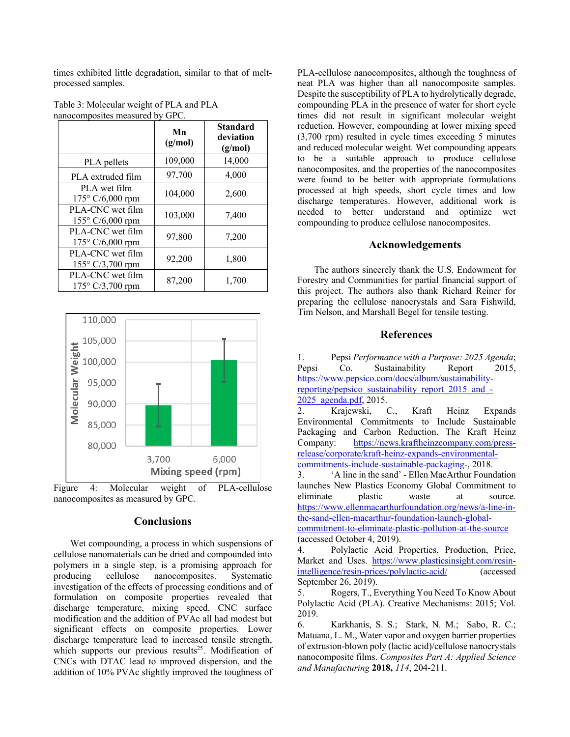times exhibited little degradation, similar to that of meltprocessed samples.

Table 3: Molecular weight of PLA and PLA nanocomposites measured by GPC.

|                                               | Mn<br>(g/mol) | <b>Standard</b><br>deviation<br>(g/mol) |
|-----------------------------------------------|---------------|-----------------------------------------|
| PLA pellets                                   | 109,000       | 14,000                                  |
| PLA extruded film                             | 97,700        | 4,000                                   |
| PLA wet film<br>$175^{\circ}$ C/6,000 rpm     | 104,000       | 2,600                                   |
| PLA-CNC wet film<br>$155^{\circ}$ C/6,000 rpm | 103,000       | 7,400                                   |
| PLA-CNC wet film<br>175° C/6,000 rpm          | 97,800        | 7,200                                   |
| PLA-CNC wet film<br>$155^{\circ}$ C/3,700 rpm | 92,200        | 1,800                                   |
| PLA-CNC wet film<br>$175^{\circ}$ C/3,700 rpm | 87,200        | 1,700                                   |



Figure 4: Molecular weight of PLA-cellulose nanocomposites as measured by GPC.

# **Conclusions**

Wet compounding, a process in which suspensions of cellulose nanomaterials can be dried and compounded into polymers in a single step, is a promising approach for producing cellulose nanocomposites. Systematic investigation of the effects of processing conditions and of formulation on composite properties revealed that discharge temperature, mixing speed, CNC surface modification and the addition of PVAc all had modest but significant effects on composite properties. Lower discharge temperature lead to increased tensile strength, which supports our previous results<sup>25</sup>. Modification of CNCs with DTAC lead to improved dispersion, and the addition of 10% PVAc slightly improved the toughness of

PLA-cellulose nanocomposites, although the toughness of neat PLA was higher than all nanocomposite samples. Despite the susceptibility of PLA to hydrolytically degrade, compounding PLA in the presence of water for short cycle times did not result in significant molecular weight reduction. However, compounding at lower mixing speed (3,700 rpm) resulted in cycle times exceeding 5 minutes and reduced molecular weight. Wet compounding appears to be a suitable approach to produce cellulose nanocomposites, and the properties of the nanocomposites were found to be better with appropriate formulations processed at high speeds, short cycle times and low discharge temperatures. However, additional work is needed to better understand and optimize wet compounding to produce cellulose nanocomposites.

# **Acknowledgements**

The authors sincerely thank the U.S. Endowment for Forestry and Communities for partial financial support of this project. The authors also thank Richard Reiner for preparing the cellulose nanocrystals and Sara Fishwild, Tim Nelson, and Marshall Begel for tensile testing.

# **References**

1. Pepsi *Performance with a Purpose: 2025 Agenda*; Pepsi Co. Sustainability Report 2015, https://www.pepsico.com/docs/album/sustainabilityreporting/pepsico\_sustainability\_report\_2015\_and\_-2025\_agenda.pdf, 2015.

2. Krajewski, C., Kraft Heinz Expands Environmental Commitments to Include Sustainable Packaging and Carbon Reduction. The Kraft Heinz Company: https://news.kraftheinzcompany.com/pressrelease/corporate/kraft-heinz-expands-environmentalcommitments-include-sustainable-packaging-, 2018.

3. 'A line in the sand' - Ellen MacArthur Foundation launches New Plastics Economy Global Commitment to eliminate plastic waste at source. https://www.ellenmacarthurfoundation.org/news/a-line-inthe-sand-ellen-macarthur-foundation-launch-globalcommitment-to-eliminate-plastic-pollution-at-the-source (accessed October 4, 2019).

4. Polylactic Acid Properties, Production, Price, Market and Uses. https://www.plasticsinsight.com/resinintelligence/resin-prices/polylactic-acid/ (accessed September 26, 2019).

5. Rogers, T., Everything You Need To Know About Polylactic Acid (PLA). Creative Mechanisms: 2015; Vol. 2019.

6. Karkhanis, S. S.; Stark, N. M.; Sabo, R. C.; Matuana, L. M., Water vapor and oxygen barrier properties of extrusion-blown poly (lactic acid)/cellulose nanocrystals nanocomposite films. *Composites Part A: Applied Science and Manufacturing* **2018,** *114*, 204-211.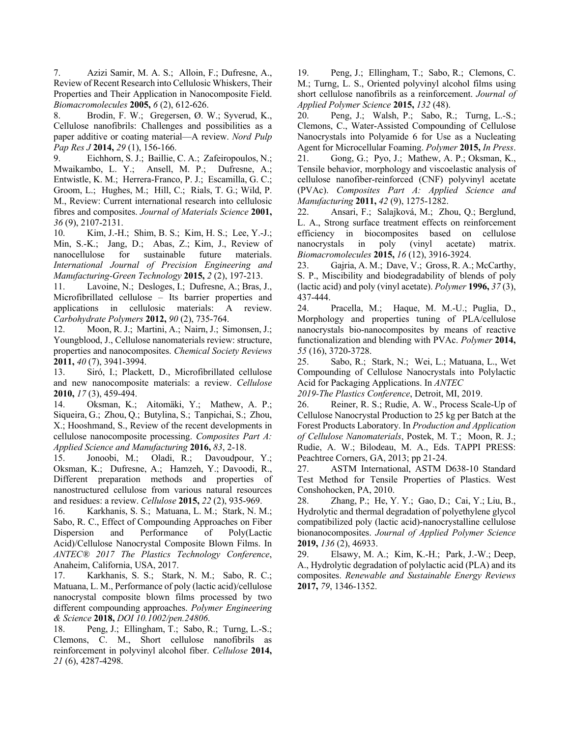7. Azizi Samir, M. A. S.; Alloin, F.; Dufresne, A., Review of Recent Research into Cellulosic Whiskers, Their Properties and Their Application in Nanocomposite Field. *Biomacromolecules* **2005,** *6* (2), 612-626.

8. Brodin, F. W.; Gregersen, Ø. W.; Syverud, K., Cellulose nanofibrils: Challenges and possibilities as a paper additive or coating material—A review. *Nord Pulp Pap Res J* **2014,** *29* (1), 156-166.

9. Eichhorn, S. J.; Baillie, C. A.; Zafeiropoulos, N.; Mwaikambo, L. Y.; Ansell, M. P.; Dufresne, A.; Entwistle, K. M.; Herrera-Franco, P. J.; Escamilla, G. C.; Groom, L.; Hughes, M.; Hill, C.; Rials, T. G.; Wild, P. M., Review: Current international research into cellulosic fibres and composites. *Journal of Materials Science* **2001,** *36* (9), 2107-2131.

10. Kim, J.-H.; Shim, B. S.; Kim, H. S.; Lee, Y.-J.; Min, S.-K.; Jang, D.; Abas, Z.; Kim, J., Review of nanocellulose for sustainable future materials. *International Journal of Precision Engineering and Manufacturing-Green Technology* **2015,** *2* (2), 197-213.

11. Lavoine, N.; Desloges, I.; Dufresne, A.; Bras, J., Microfibrillated cellulose – Its barrier properties and applications in cellulosic materials: A review. *Carbohydrate Polymers* **2012,** *90* (2), 735-764.

12. Moon, R. J.; Martini, A.; Nairn, J.; Simonsen, J.; Youngblood, J., Cellulose nanomaterials review: structure, properties and nanocomposites. *Chemical Society Reviews*  **2011,** *40* (7), 3941-3994.

13. Siró, I.; Plackett, D., Microfibrillated cellulose and new nanocomposite materials: a review. *Cellulose*  **2010,** *17* (3), 459-494.

14. Oksman, K.; Aitomäki, Y.; Mathew, A. P.; Siqueira, G.; Zhou, Q.; Butylina, S.; Tanpichai, S.; Zhou, X.; Hooshmand, S., Review of the recent developments in cellulose nanocomposite processing. *Composites Part A: Applied Science and Manufacturing* **2016,** *83*, 2-18.

15. Jonoobi, M.; Oladi, R.; Davoudpour, Y.; Oksman, K.; Dufresne, A.; Hamzeh, Y.; Davoodi, R., Different preparation methods and properties of nanostructured cellulose from various natural resources and residues: a review. *Cellulose* **2015,** *22* (2), 935-969.

16. Karkhanis, S. S.; Matuana, L. M.; Stark, N. M.; Sabo, R. C., Effect of Compounding Approaches on Fiber Dispersion and Performance of Poly(Lactic Acid)/Cellulose Nanocrystal Composite Blown Films. In *ANTEC® 2017 The Plastics Technology Conference*, Anaheim, California, USA, 2017.

17. Karkhanis, S. S.; Stark, N. M.; Sabo, R. C.; Matuana, L. M., Performance of poly (lactic acid)/cellulose nanocrystal composite blown films processed by two different compounding approaches. *Polymer Engineering & Science* **2018,** *DOI 10.1002/pen.24806*.

18. Peng, J.; Ellingham, T.; Sabo, R.; Turng, L.-S.; Clemons, C. M., Short cellulose nanofibrils as reinforcement in polyvinyl alcohol fiber. *Cellulose* **2014,** *21* (6), 4287-4298.

19. Peng, J.; Ellingham, T.; Sabo, R.; Clemons, C. M.; Turng, L. S., Oriented polyvinyl alcohol films using short cellulose nanofibrils as a reinforcement. *Journal of Applied Polymer Science* **2015,** *132* (48).

20. Peng, J.; Walsh, P.; Sabo, R.; Turng, L.-S.; Clemons, C., Water-Assisted Compounding of Cellulose Nanocrystals into Polyamide 6 for Use as a Nucleating Agent for Microcellular Foaming. *Polymer* **2015,** *In Press*.

21. Gong, G.; Pyo, J.; Mathew, A. P.; Oksman, K., Tensile behavior, morphology and viscoelastic analysis of cellulose nanofiber-reinforced (CNF) polyvinyl acetate (PVAc). *Composites Part A: Applied Science and Manufacturing* **2011,** *42* (9), 1275-1282.

22. Ansari, F.; Salajková, M.; Zhou, Q.; Berglund, L. A., Strong surface treatment effects on reinforcement efficiency in biocomposites based on cellulose nanocrystals in poly (vinyl acetate) matrix. *Biomacromolecules* **2015,** *16* (12), 3916-3924.

23. Gajria, A. M.; Dave, V.; Gross, R. A.; McCarthy, S. P., Miscibility and biodegradability of blends of poly (lactic acid) and poly (vinyl acetate). *Polymer* **1996,** *37* (3), 437-444.

24. Pracella, M.; Haque, M. M.-U.; Puglia, D., Morphology and properties tuning of PLA/cellulose nanocrystals bio-nanocomposites by means of reactive functionalization and blending with PVAc. *Polymer* **2014,** *55* (16), 3720-3728.

25. Sabo, R.; Stark, N.; Wei, L.; Matuana, L., Wet Compounding of Cellulose Nanocrystals into Polylactic Acid for Packaging Applications. In *ANTEC*

*2019-The Plastics Conference*, Detroit, MI, 2019.

26. Reiner, R. S.; Rudie, A. W., Process Scale-Up of Cellulose Nanocrystal Production to 25 kg per Batch at the Forest Products Laboratory. In *Production and Application of Cellulose Nanomaterials*, Postek, M. T.; Moon, R. J.; Rudie, A. W.; Bilodeau, M. A., Eds. TAPPI PRESS: Peachtree Corners, GA, 2013; pp 21-24.

27. ASTM International, ASTM D638-10 Standard Test Method for Tensile Properties of Plastics. West Conshohocken, PA, 2010.

28. Zhang, P.; He, Y. Y.; Gao, D.; Cai, Y.; Liu, B., Hydrolytic and thermal degradation of polyethylene glycol compatibilized poly (lactic acid)‐nanocrystalline cellulose bionanocomposites. *Journal of Applied Polymer Science*  **2019,** *136* (2), 46933.

29. Elsawy, M. A.; Kim, K.-H.; Park, J.-W.; Deep, A., Hydrolytic degradation of polylactic acid (PLA) and its composites. *Renewable and Sustainable Energy Reviews*  **2017,** *79*, 1346-1352.